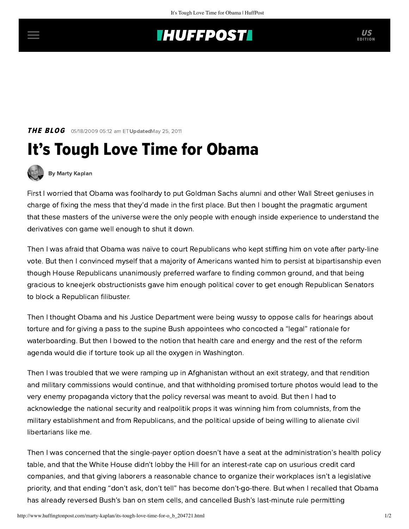## **INUFFPOSTI** US

**THE BLOG** 05/18/2009 05:12 am ET UpdatedMay 25, 2011

## It's Tough Love Time for Obama



[By Marty Kaplan](http://www.huffingtonpost.com/author/marty-kaplan)

First I worried that Obama was foolhardy to put Goldman Sachs alumni and other Wall Street geniuses in charge of fixing the mess that they'd made in the first place. But then I bought the pragmatic argument that these masters of the universe were the only people with enough inside experience to understand the derivatives con game well enough to shut it down.

Then I was afraid that Obama was naïve to court Republicans who kept stiffing him on vote after party-line vote. But then I convinced myself that a majority of Americans wanted him to persist at bipartisanship even though House Republicans unanimously preferred warfare to finding common ground, and that being gracious to kneejerk obstructionists gave him enough political cover to get enough Republican Senators to block a Republican filibuster.

Then I thought Obama and his Justice Department were being wussy to oppose calls for hearings about torture and for giving a pass to the supine Bush appointees who concocted a "legal" rationale for waterboarding. But then I bowed to the notion that health care and energy and the rest of the reform agenda would die if torture took up all the oxygen in Washington.

Then I was troubled that we were ramping up in Afghanistan without an exit strategy, and that rendition and military commissions would continue, and that withholding promised torture photos would lead to the very enemy propaganda victory that the policy reversal was meant to avoid. But then I had to acknowledge the national security and realpolitik props it was winning him from columnists, from the military establishment and from Republicans, and the political upside of being willing to alienate civil libertarians like me.

Then I was concerned that the single-payer option doesn't have a seat at the administration's health policy table, and that the White House didn't lobby the Hill for an interest-rate cap on usurious credit card companies, and that giving laborers a reasonable chance to organize their workplaces isn't a legislative priority, and that ending "don't ask, don't tell" has become don't-go-there. But when I recalled that Obama has already reversed Bush's ban on stem cells, and cancelled Bush's last-minute rule permitting